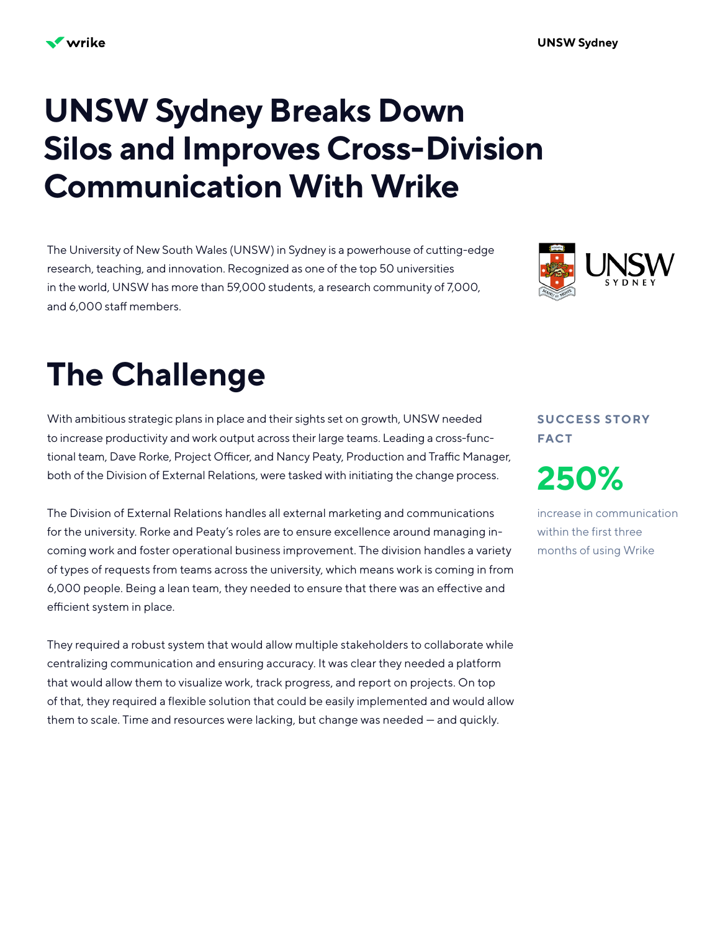## **UNSW Sydney Breaks Down Silos and Improves Cross-Division Communication With Wrike**

The University of New South Wales (UNSW) in Sydney is a powerhouse of cutting-edge research, teaching, and innovation. Recognized as one of the top 50 universities in the world, UNSW has more than 59,000 students, a research community of 7,000, and 6,000 staff members.



# **The Challenge**

With ambitious strategic plans in place and their sights set on growth, UNSW needed to increase productivity and work output across their large teams. Leading a cross-functional team, Dave Rorke, Project Officer, and Nancy Peaty, Production and Traffic Manager, both of the Division of External Relations, were tasked with initiating the change process.

The Division of External Relations handles all external marketing and communications for the university. Rorke and Peaty's roles are to ensure excellence around managing incoming work and foster operational business improvement. The division handles a variety of types of requests from teams across the university, which means work is coming in from 6,000 people. Being a lean team, they needed to ensure that there was an effective and efficient system in place.

They required a robust system that would allow multiple stakeholders to collaborate while centralizing communication and ensuring accuracy. It was clear they needed a platform that would allow them to visualize work, track progress, and report on projects. On top of that, they required a flexible solution that could be easily implemented and would allow them to scale. Time and resources were lacking, but change was needed — and quickly.

**S U CC E S S S TO RY FACT**

**250%**

increase in communication within the first three months of using Wrike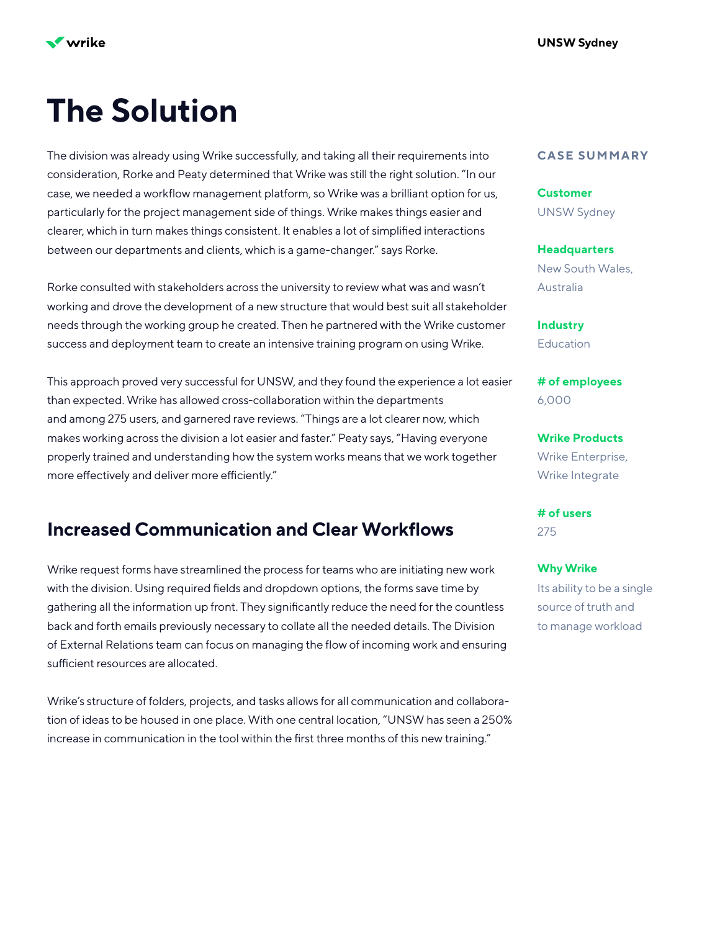

## **The Solution**

The division was already using Wrike successfully, and taking all their requirements into consideration, Rorke and Peaty determined that Wrike was still the right solution. "In our case, we needed a workflow management platform, so Wrike was a brilliant option for us, particularly for the project management side of things. Wrike makes things easier and clearer, which in turn makes things consistent. It enables a lot of simplified interactions between our departments and clients, which is a game-changer." says Rorke.

Rorke consulted with stakeholders across the university to review what was and wasn't working and drove the development of a new structure that would best suit all stakeholder needs through the working group he created. Then he partnered with the Wrike customer success and deployment team to create an intensive training program on using Wrike.

This approach proved very successful for UNSW, and they found the experience a lot easier than expected. Wrike has allowed cross-collaboration within the departments and among 275 users, and garnered rave reviews. "Things are a lot clearer now, which makes working across the division a lot easier and faster." Peaty says, "Having everyone properly trained and understanding how the system works means that we work together more effectively and deliver more efficiently."

### **Increased Communication and Clear Workflows**

Wrike request forms have streamlined the process for teams who are initiating new work with the division. Using required fields and dropdown options, the forms save time by gathering all the information up front. They significantly reduce the need for the countless back and forth emails previously necessary to collate all the needed details. The Division of External Relations team can focus on managing the flow of incoming work and ensuring sufficient resources are allocated.

Wrike's structure of folders, projects, and tasks allows for all communication and collaboration of ideas to be housed in one place. With one central location, "UNSW has seen a 250% increase in communication in the tool within the first three months of this new training."

#### **CASE SUMMARY**

UNSW Sydney **Customer**

New South Wales, Australia **Headquarters**

**Education Industry**

6,000 **# of employees**

Wrike Enterprise, Wrike Integrate **Wrike Products**

275 **# of users**

Its ability to be a single source of truth and to manage workload **Why Wrike**